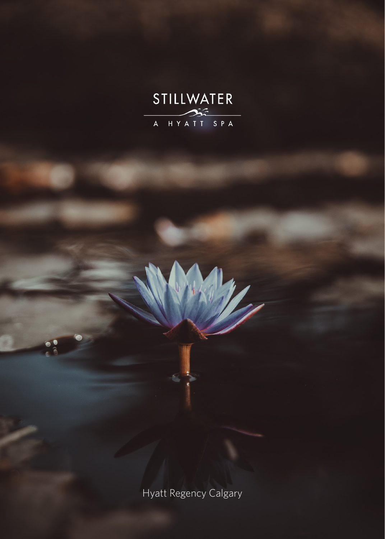

Hyatt Regency Calgary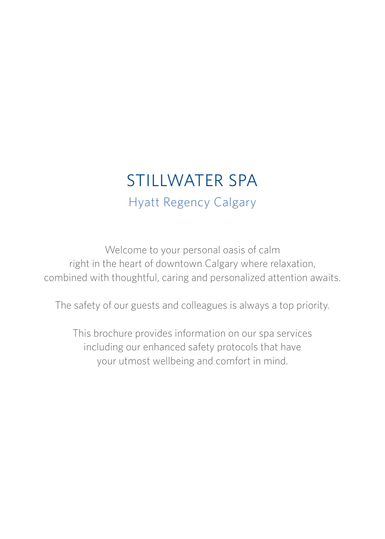# STILLWATER SPA Hyatt Regency Calgary

Welcome to your personal oasis of calm right in the heart of downtown Calgary where relaxation, combined with thoughtful, caring and personalized attention awaits.

The safety of our guests and colleagues is always a top priority.

This brochure provides information on our spa services including our enhanced safety protocols that have your utmost wellbeing and comfort in mind.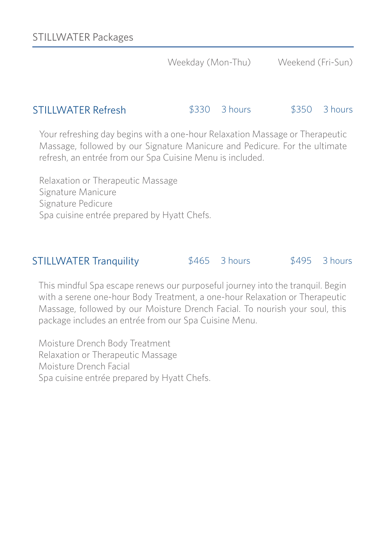### STILLWATER Refresh

\$330 3 hours \$350 3 hours

Your refreshing day begins with a one-hour Relaxation Massage or Therapeutic Massage, followed by our Signature Manicure and Pedicure. For the ultimate refresh, an entrée from our Spa Cuisine Menu is included.

Relaxation or Therapeutic Massage Signature Manicure Signature Pedicure Spa cuisine entrée prepared by Hyatt Chefs.

### STILLWATER Tranquility

\$465 3 hours \$495 3 hours

This mindful Spa escape renews our purposeful journey into the tranquil. Begin with a serene one-hour Body Treatment, a one-hour Relaxation or Therapeutic Massage, followed by our Moisture Drench Facial. To nourish your soul, this package includes an entrée from our Spa Cuisine Menu.

Moisture Drench Body Treatment Relaxation or Therapeutic Massage Moisture Drench Facial Spa cuisine entrée prepared by Hyatt Chefs.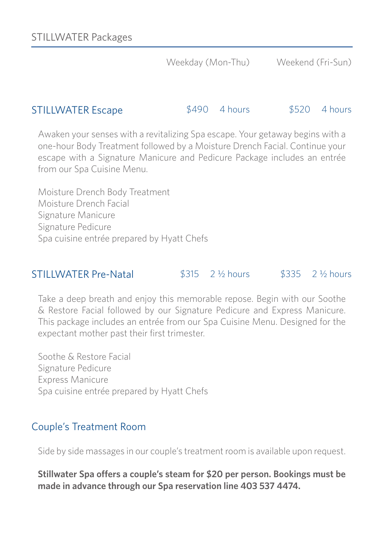#### STILLWATER Escape \$490 4 hours \$520 4 hours

Awaken your senses with a revitalizing Spa escape. Your getaway begins with a one-hour Body Treatment followed by a Moisture Drench Facial. Continue your escape with a Signature Manicure and Pedicure Package includes an entrée from our Spa Cuisine Menu.

Moisture Drench Body Treatment Moisture Drench Facial Signature Manicure Signature Pedicure Spa cuisine entrée prepared by Hyatt Chefs

### STILLWATER Pre-Natal \$315 2 ½ hours \$335 2 ½ hours

Take a deep breath and enjoy this memorable repose. Begin with our Soothe & Restore Facial followed by our Signature Pedicure and Express Manicure. This package includes an entrée from our Spa Cuisine Menu. Designed for the expectant mother past their first trimester.

Soothe & Restore Facial Signature Pedicure Express Manicure Spa cuisine entrée prepared by Hyatt Chefs

### Couple's Treatment Room

Side by side massages in our couple's treatment room is available upon request.

**Stillwater Spa offers a couple's steam for \$20 per person. Bookings must be made in advance through our Spa reservation line 403 537 4474.**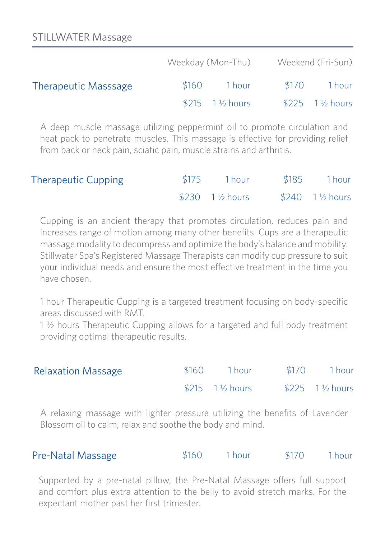|                             | Weekday (Mon-Thu) |                                 |       | Weekend (Fri-Sun)            |  |
|-----------------------------|-------------------|---------------------------------|-------|------------------------------|--|
| <b>Therapeutic Masssage</b> | \$160             | 1 hour                          | \$170 | 1 hour                       |  |
|                             |                   | $$215 \quad 1\frac{1}{2}$ hours |       | $$225$ 1 $\frac{1}{2}$ hours |  |

A deep muscle massage utilizing peppermint oil to promote circulation and heat pack to penetrate muscles. This massage is effective for providing relief from back or neck pain, sciatic pain, muscle strains and arthritis.

| <b>Therapeutic Cupping</b> | $$175$ 1 hour   | \$185 | 1 hour           |
|----------------------------|-----------------|-------|------------------|
|                            | $$230$ 1½ hours |       | $$240$ 1 ½ hours |

Cupping is an ancient therapy that promotes circulation, reduces pain and increases range of motion among many other benefits. Cups are a therapeutic massage modality to decompress and optimize the body's balance and mobility. Stillwater Spa's Registered Massage Therapists can modify cup pressure to suit your individual needs and ensure the most effective treatment in the time you have chosen.

1 hour Therapeutic Cupping is a targeted treatment focusing on body-specific areas discussed with RMT.

1 ½ hours Therapeutic Cupping allows for a targeted and full body treatment providing optimal therapeutic results.

| <b>Relaxation Massage</b> | \$160 | - 1 hour                        | \$170 | 1 hour          |
|---------------------------|-------|---------------------------------|-------|-----------------|
|                           |       | $$215 \quad 1\frac{1}{2}$ hours |       | $$225$ 1½ hours |

A relaxing massage with lighter pressure utilizing the benefits of Lavender Blossom oil to calm, relax and soothe the body and mind.

| Pre-Natal Massage | \$160 | l hour | \$170 | l hour- |
|-------------------|-------|--------|-------|---------|
|-------------------|-------|--------|-------|---------|

Supported by a pre-natal pillow, the Pre-Natal Massage offers full support and comfort plus extra attention to the belly to avoid stretch marks. For the expectant mother past her first trimester.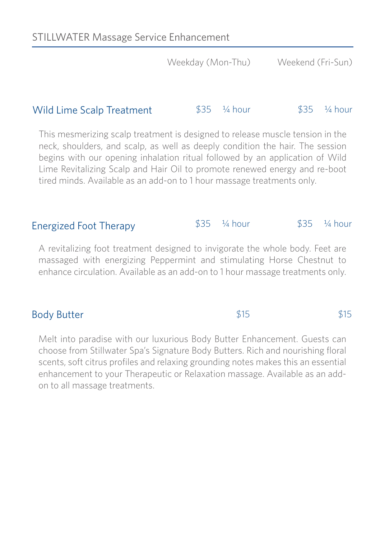$$15$  \$15

### Wild Lime Scalp Treatment  $$35$   $\frac{1}{4}$  hour  $$35$   $\frac{1}{4}$  hour

This mesmerizing scalp treatment is designed to release muscle tension in the neck, shoulders, and scalp, as well as deeply condition the hair. The session begins with our opening inhalation ritual followed by an application of Wild Lime Revitalizing Scalp and Hair Oil to promote renewed energy and re-boot tired minds. Available as an add-on to 1 hour massage treatments only.

#### Energized Foot Therapy  $$35 \frac{1}{4}$  hour  $$35 \frac{1}{4}$  hour

A revitalizing foot treatment designed to invigorate the whole body. Feet are massaged with energizing Peppermint and stimulating Horse Chestnut to enhance circulation. Available as an add-on to 1 hour massage treatments only.

### Body Butter

Melt into paradise with our luxurious Body Butter Enhancement. Guests can choose from Stillwater Spa's Signature Body Butters. Rich and nourishing floral scents, soft citrus profiles and relaxing grounding notes makes this an essential enhancement to your Therapeutic or Relaxation massage. Available as an addon to all massage treatments.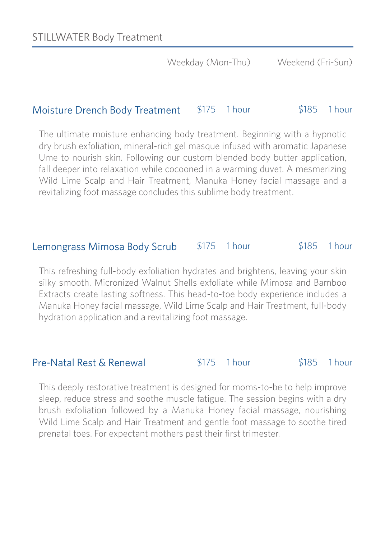### Moisture Drench Body Treatment \$175 1 hour \$185 1 hour

The ultimate moisture enhancing body treatment. Beginning with a hypnotic dry brush exfoliation, mineral-rich gel masque infused with aromatic Japanese Ume to nourish skin. Following our custom blended body butter application, fall deeper into relaxation while cocooned in a warming duvet. A mesmerizing Wild Lime Scalp and Hair Treatment, Manuka Honey facial massage and a revitalizing foot massage concludes this sublime body treatment.

#### Lemongrass Mimosa Body Scrub \$175 1 hour \$185 1 hour

This refreshing full-body exfoliation hydrates and brightens, leaving your skin silky smooth. Micronized Walnut Shells exfoliate while Mimosa and Bamboo Extracts create lasting softness. This head-to-toe body experience includes a Manuka Honey facial massage, Wild Lime Scalp and Hair Treatment, full-body hydration application and a revitalizing foot massage.

### Pre-Natal Rest & Renewal

\$175 1 hour \$185 1 hour

This deeply restorative treatment is designed for moms-to-be to help improve sleep, reduce stress and soothe muscle fatigue. The session begins with a dry brush exfoliation followed by a Manuka Honey facial massage, nourishing Wild Lime Scalp and Hair Treatment and gentle foot massage to soothe tired prenatal toes. For expectant mothers past their first trimester.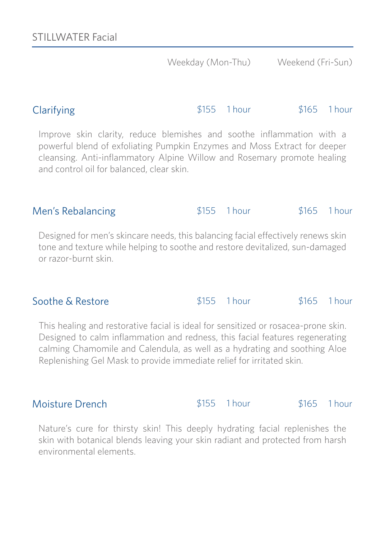### Clarifying \$155 1 hour \$165 1 hour

Improve skin clarity, reduce blemishes and soothe inflammation with a powerful blend of exfoliating Pumpkin Enzymes and Moss Extract for deeper cleansing. Anti-inflammatory Alpine Willow and Rosemary promote healing and control oil for balanced, clear skin.

### \$155 1 hour \$165 1 hour Men's Rebalancing

Designed for men's skincare needs, this balancing facial effectively renews skin tone and texture while helping to soothe and restore devitalized, sun-damaged or razor-burnt skin.

### Soothe & Restore

This healing and restorative facial is ideal for sensitized or rosacea-prone skin. Designed to calm inflammation and redness, this facial features regenerating calming Chamomile and Calendula, as well as a hydrating and soothing Aloe Replenishing Gel Mask to provide immediate relief for irritated skin.

Nature's cure for thirsty skin! This deeply hydrating facial replenishes the skin with botanical blends leaving your skin radiant and protected from harsh environmental elements.

### Moisture Drench  $$155$  1 hour  $$165$  1 hour

\$155 1 hour \$165 1 hour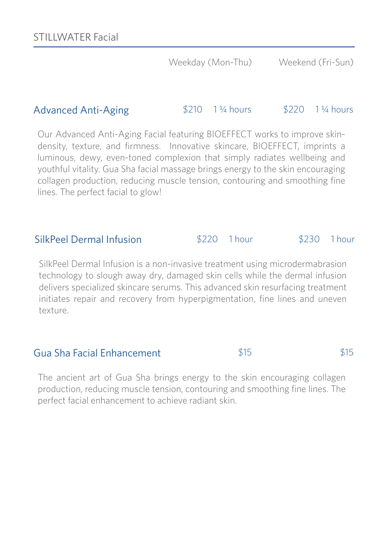### Advanced Anti-Aging \$210 1<sup>1</sup>/4 hours \$220 1<sup>1</sup>/4 hours

Our Advanced Anti-Aging Facial featuring BIOEFFECT works to improve skindensity, texture, and firmness. Innovative skincare, BIOEFFECT, imprints a luminous, dewy, even-toned complexion that simply radiates wellbeing and youthful vitality. Gua Sha facial massage brings energy to the skin encouraging collagen production, reducing muscle tension, contouring and smoothing fine lines. The perfect facial to glow!

### SilkPeel Dermal Infusion \$220 1 hour \$230 1 hour

SilkPeel Dermal Infusion is a non-invasive treatment using microdermabrasion technology to slough away dry, damaged skin cells while the dermal infusion delivers specialized skincare serums. This advanced skin resurfacing treatment initiates repair and recovery from hyperpigmentation, fine lines and uneven texture.

### Gua Sha Facial Enhancement  $$15$   $$15$   $$15$

The ancient art of Gua Sha brings energy to the skin encouraging collagen production, reducing muscle tension, contouring and smoothing fine lines. The perfect facial enhancement to achieve radiant skin.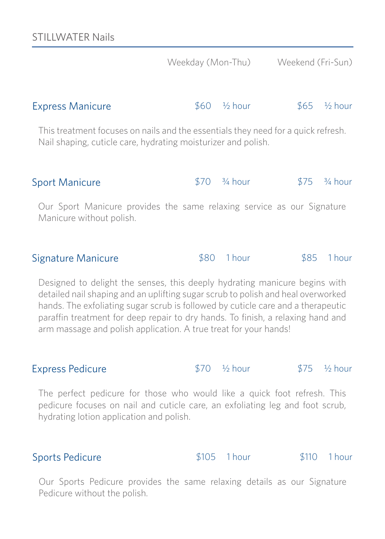|                                                                                                                                                    | Weekday (Mon-Thu) |                          | Weekend (Fri-Sun) |                        |
|----------------------------------------------------------------------------------------------------------------------------------------------------|-------------------|--------------------------|-------------------|------------------------|
| <b>Express Manicure</b>                                                                                                                            | 860               | - ½ hour                 |                   | $$65 \frac{1}{2}$ hour |
| This treatment focuses on nails and the essentials they need for a quick refresh.<br>Nail shaping, cuticle care, hydrating moisturizer and polish. |                   |                          |                   |                        |
| <b>Sport Manicure</b>                                                                                                                              |                   | $$70$ $\frac{3}{4}$ hour | \$75              | $\frac{3}{4}$ hour     |
| Our Sport Manicure provides the same relaxing service as our Signature<br>Manicure without polish.                                                 |                   |                          |                   |                        |
| Signature Manicure                                                                                                                                 | \$80              | 1 hour                   | \$85              | 1 hour                 |

Designed to delight the senses, this deeply hydrating manicure begins with detailed nail shaping and an uplifting sugar scrub to polish and heal overworked hands. The exfoliating sugar scrub is followed by cuticle care and a therapeutic paraffin treatment for deep repair to dry hands. To finish, a relaxing hand and arm massage and polish application. A true treat for your hands!

Express Pedicure  $$70$   $\frac{1}{2}$  hour  $$75$   $\frac{1}{2}$  hour

The perfect pedicure for those who would like a quick foot refresh. This pedicure focuses on nail and cuticle care, an exfoliating leg and foot scrub, hydrating lotion application and polish.

### Sports Pedicure **\$105** 1 hour \$110 1 hour

Our Sports Pedicure provides the same relaxing details as our Signature Pedicure without the polish.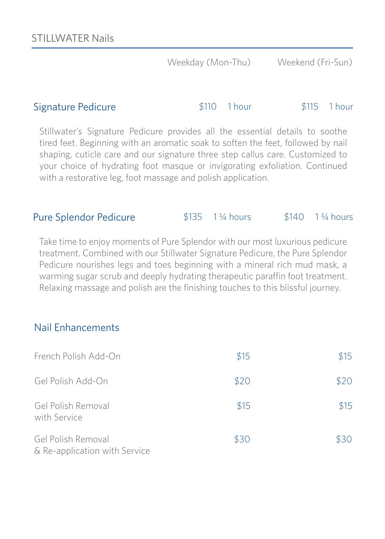#### Signature Pedicure \$110 1 hour \$115 1 hour

Stillwater's Signature Pedicure provides all the essential details to soothe tired feet. Beginning with an aromatic soak to soften the feet, followed by nail shaping, cuticle care and our signature three step callus care. Customized to your choice of hydrating foot masque or invigorating exfoliation. Continued with a restorative leg, foot massage and polish application.

### Pure Splendor Pedicure  $$135$  1 ¼ hours \$140 1 ¼ hours

Take time to enjoy moments of Pure Splendor with our most luxurious pedicure treatment. Combined with our Stillwater Signature Pedicure, the Pure Splendor Pedicure nourishes legs and toes beginning with a mineral rich mud mask, a warming sugar scrub and deeply hydrating therapeutic paraffin foot treatment. Relaxing massage and polish are the finishing touches to this blissful journey.

### Nail Enhancements

| French Polish Add-On                                | \$15 | \$15 |
|-----------------------------------------------------|------|------|
| Gel Polish Add-On                                   | \$20 | \$20 |
| Gel Polish Removal<br>with Service                  | \$15 | \$15 |
| Gel Polish Removal<br>& Re-application with Service | \$30 | \$30 |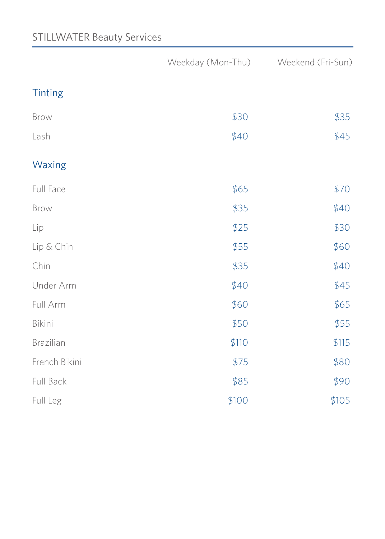## STILLWATER Beauty Services

|                |       | Weekday (Mon-Thu) Weekend (Fri-Sun) |
|----------------|-------|-------------------------------------|
| <b>Tinting</b> |       |                                     |
| Brow           | \$30  | \$35                                |
| Lash           | \$40  | \$45                                |
| Waxing         |       |                                     |
| Full Face      | \$65  | \$70                                |
| Brow           | \$35  | \$40                                |
| Lip            | \$25  | \$30                                |
| Lip & Chin     | \$55  | \$60                                |
| Chin           | \$35  | \$40                                |
| Under Arm      | \$40  | \$45                                |
| Full Arm       | \$60  | \$65                                |
| Bikini         | \$50  | \$55                                |
| Brazilian      | \$110 | \$115                               |
| French Bikini  | \$75  | \$80                                |
| Full Back      | \$85  | \$90                                |
| Full Leg       | \$100 | \$105                               |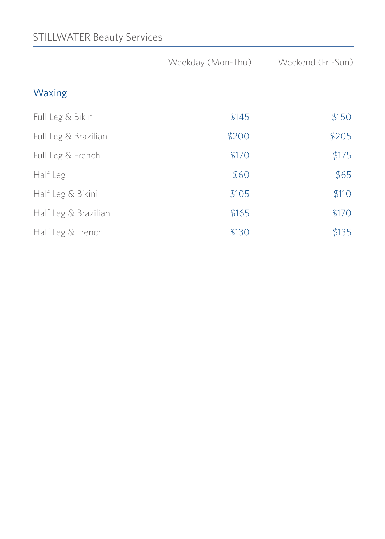## STILLWATER Beauty Services

|                      | Weekday (Mon-Thu) | Weekend (Fri-Sun) |
|----------------------|-------------------|-------------------|
| Waxing               |                   |                   |
| Full Leg & Bikini    | \$145             | \$150             |
| Full Leg & Brazilian | \$200             | \$205             |
| Full Leg & French    | \$170             | \$175             |
| Half Leg             | \$60              | \$65              |
| Half Leg & Bikini    | \$105             | \$110             |
| Half Leg & Brazilian | \$165             | \$170             |
| Half Leg & French    | \$130             | \$135             |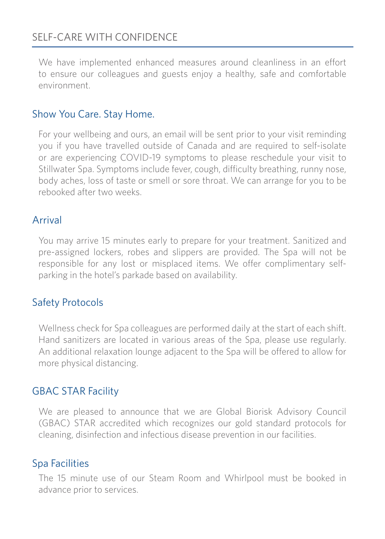## SELF-CARE WITH CONFIDENCE

We have implemented enhanced measures around cleanliness in an effort to ensure our colleagues and guests enjoy a healthy, safe and comfortable environment.

### Show You Care. Stay Home.

For your wellbeing and ours, an email will be sent prior to your visit reminding you if you have travelled outside of Canada and are required to self-isolate or are experiencing COVID-19 symptoms to please reschedule your visit to Stillwater Spa. Symptoms include fever, cough, difficulty breathing, runny nose, body aches, loss of taste or smell or sore throat. We can arrange for you to be rebooked after two weeks.

### Arrival

You may arrive 15 minutes early to prepare for your treatment. Sanitized and pre-assigned lockers, robes and slippers are provided. The Spa will not be responsible for any lost or misplaced items. We offer complimentary selfparking in the hotel's parkade based on availability.

### Safety Protocols

Wellness check for Spa colleagues are performed daily at the start of each shift. Hand sanitizers are located in various areas of the Spa, please use regularly. An additional relaxation lounge adjacent to the Spa will be offered to allow for more physical distancing.

### GBAC STAR Facility

We are pleased to announce that we are Global Biorisk Advisory Council (GBAC) STAR accredited which recognizes our gold standard protocols for cleaning, disinfection and infectious disease prevention in our facilities.

### Spa Facilities

The 15 minute use of our Steam Room and Whirlpool must be booked in advance prior to services.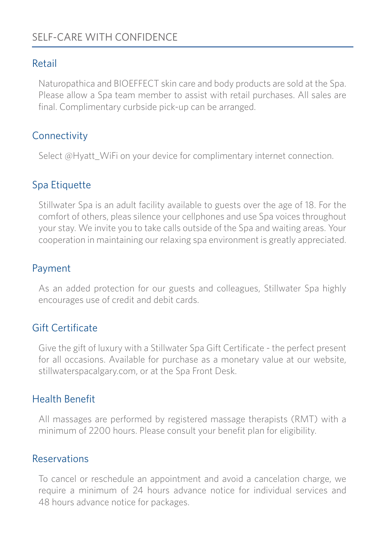## SELF-CARE WITH CONFIDENCE

### Retail

Naturopathica and BIOEFFECT skin care and body products are sold at the Spa. Please allow a Spa team member to assist with retail purchases. All sales are final. Complimentary curbside pick-up can be arranged.

### **Connectivity**

Select @Hyatt\_WiFi on your device for complimentary internet connection.

### Spa Etiquette

Stillwater Spa is an adult facility available to guests over the age of 18. For the comfort of others, pleas silence your cellphones and use Spa voices throughout your stay. We invite you to take calls outside of the Spa and waiting areas. Your cooperation in maintaining our relaxing spa environment is greatly appreciated.

### Payment

As an added protection for our guests and colleagues, Stillwater Spa highly encourages use of credit and debit cards.

### Gift Certificate

Give the gift of luxury with a Stillwater Spa Gift Certificate - the perfect present for all occasions. Available for purchase as a monetary value at our website, stillwaterspacalgary.com, or at the Spa Front Desk.

### Health Benefit

All massages are performed by registered massage therapists (RMT) with a minimum of 2200 hours. Please consult your benefit plan for eligibility.

### Reservations

To cancel or reschedule an appointment and avoid a cancelation charge, we require a minimum of 24 hours advance notice for individual services and 48 hours advance notice for packages.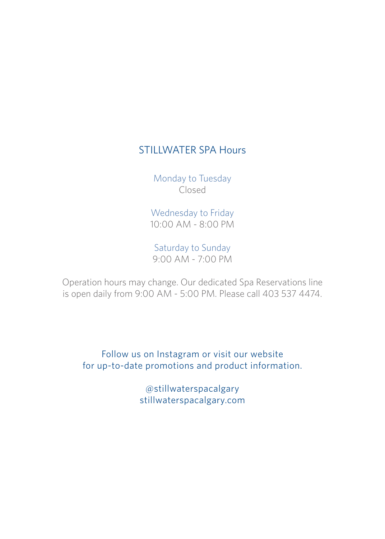## STILLWATER SPA Hours

Monday to Tuesday Closed

Wednesday to Friday 10:00 AM - 8:00 PM

Saturday to Sunday 9:00 AM - 7:00 PM

Operation hours may change. Our dedicated Spa Reservations line is open daily from 9:00 AM - 5:00 PM. Please call 403 537 4474.

Follow us on Instagram or visit our website for up-to-date promotions and product information.

> @stillwaterspacalgary stillwaterspacalgary.com